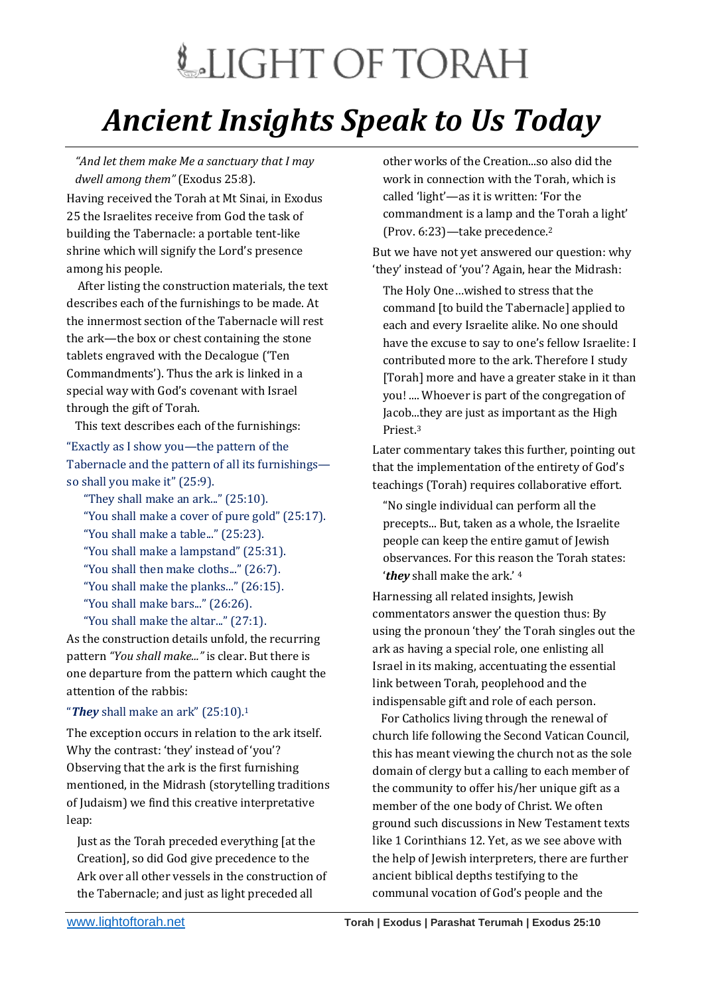## LIGHT OF TORAH *Ancient Insights Speak to Us Today*

*"And let them make Me a sanctuary that I may dwell among them"* (Exodus 25:8).

Having received the Torah at Mt Sinai, in Exodus 25 the Israelites receive from God the task of building the Tabernacle: a portable tent-like shrine which will signify the Lord's presence among his people.

 After listing the construction materials, the text describes each of the furnishings to be made. At the innermost section of the Tabernacle will rest the ark—the box or chest containing the stone tablets engraved with the Decalogue ('Ten Commandments'). Thus the ark is linked in a special way with God's covenant with Israel through the gift of Torah.

This text describes each of the furnishings:

"Exactly as I show you—the pattern of the Tabernacle and the pattern of all its furnishings so shall you make it" (25:9).

"They shall make an ark..." (25:10). "You shall make a cover of pure gold" (25:17). "You shall make a table..." (25:23).

"You shall make a lampstand" (25:31).

"You shall then make cloths..." (26:7).

- "You shall make the planks..." (26:15).
- "You shall make bars..." (26:26).
- "You shall make the altar..." (27:1).

As the construction details unfold, the recurring pattern *"You shall make..."* is clear. But there is one departure from the pattern which caught the attention of the rabbis:

## "*They* shall make an ark" (25:10).<sup>1</sup>

The exception occurs in relation to the ark itself. Why the contrast: 'they' instead of 'you'? Observing that the ark is the first furnishing mentioned, in the Midrash (storytelling traditions of Judaism) we find this creative interpretative leap:

Just as the Torah preceded everything [at the Creation], so did God give precedence to the Ark over all other vessels in the construction of the Tabernacle; and just as light preceded all

other works of the Creation...so also did the work in connection with the Torah, which is called 'light'—as it is written: 'For the commandment is a lamp and the Torah a light' (Prov. 6:23)—take precedence.<sup>2</sup>

But we have not yet answered our question: why 'they' instead of 'you'? Again, hear the Midrash:

The Holy One…wished to stress that the command [to build the Tabernacle] applied to each and every Israelite alike. No one should have the excuse to say to one's fellow Israelite: I contributed more to the ark. Therefore I study [Torah] more and have a greater stake in it than you! .... Whoever is part of the congregation of Jacob...they are just as important as the High Priest.<sup>3</sup>

Later commentary takes this further, pointing out that the implementation of the entirety of God's teachings (Torah) requires collaborative effort.

"No single individual can perform all the precepts... But, taken as a whole, the Israelite people can keep the entire gamut of Jewish observances. For this reason the Torah states: '*they* shall make the ark.' <sup>4</sup>

Harnessing all related insights, Jewish commentators answer the question thus: By using the pronoun 'they' the Torah singles out the ark as having a special role, one enlisting all Israel in its making, accentuating the essential link between Torah, peoplehood and the indispensable gift and role of each person.

 For Catholics living through the renewal of church life following the Second Vatican Council, this has meant viewing the church not as the sole domain of clergy but a calling to each member of the community to offer his/her unique gift as a member of the one body of Christ. We often ground such discussions in New Testament texts like 1 Corinthians 12. Yet, as we see above with the help of Jewish interpreters, there are further ancient biblical depths testifying to the communal vocation of God's people and the